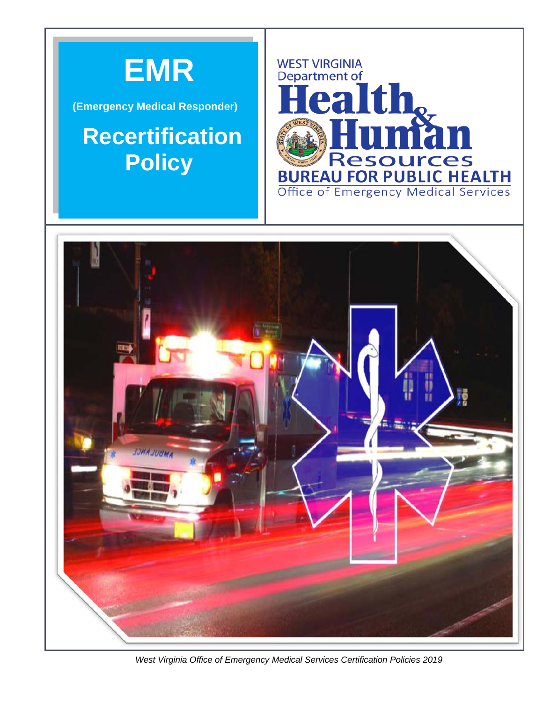

(Emergency Medical Responder)

# **Recertification Policy**





West Virginia Office of Emergency Medical Services Certification Policies 2019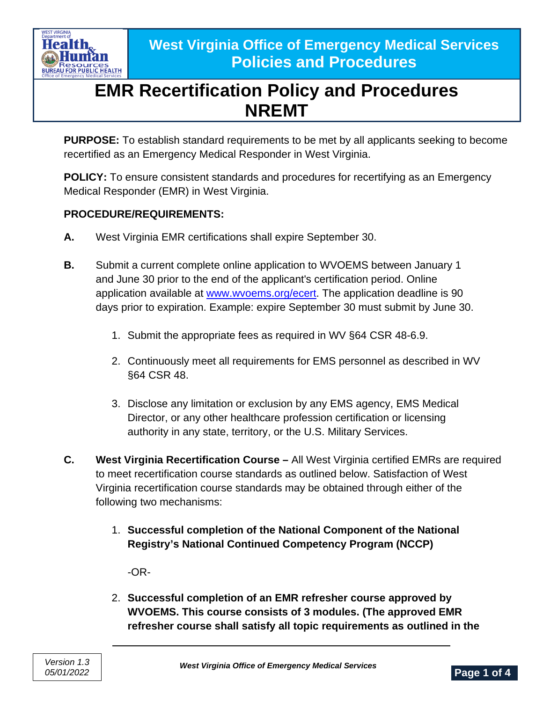

**PURPOSE:** To establish standard requirements to be met by all applicants seeking to become recertified as an Emergency Medical Responder in West Virginia.

**POLICY:** To ensure consistent standards and procedures for recertifying as an Emergency Medical Responder (EMR) in West Virginia.

### **PROCEDURE/REQUIREMENTS:**

- **A.** West Virginia EMR certifications shall expire September 30.
- **B.** Submit a current complete online application to WVOEMS between January 1 and June 30 prior to the end of the applicant's certification period. Online application available at [www.wvoems.org/](http://www.wvoems.org/)ecert. The application deadline is 90 days prior to expiration. Example: expire September 30 must submit by June 30.
	- 1. Submit the appropriate fees as required in WV §64 CSR 48-6.9.
	- 2. Continuously meet all requirements for EMS personnel as described in WV §64 CSR 48.
	- 3. Disclose any limitation or exclusion by any EMS agency, EMS Medical Director, or any other healthcare profession certification or licensing authority in any state, territory, or the U.S. Military Services.
- **C. West Virginia Recertification Course –** All West Virginia certified EMRs are required to meet recertification course standards as outlined below. Satisfaction of West Virginia recertification course standards may be obtained through either of the following two mechanisms:
	- 1. **Successful completion of the National Component of the National Registry's National Continued Competency Program (NCCP)**

-OR-

2. **Successful completion of an EMR refresher course approved by WVOEMS. This course consists of 3 modules. (The approved EMR refresher course shall satisfy all topic requirements as outlined in the**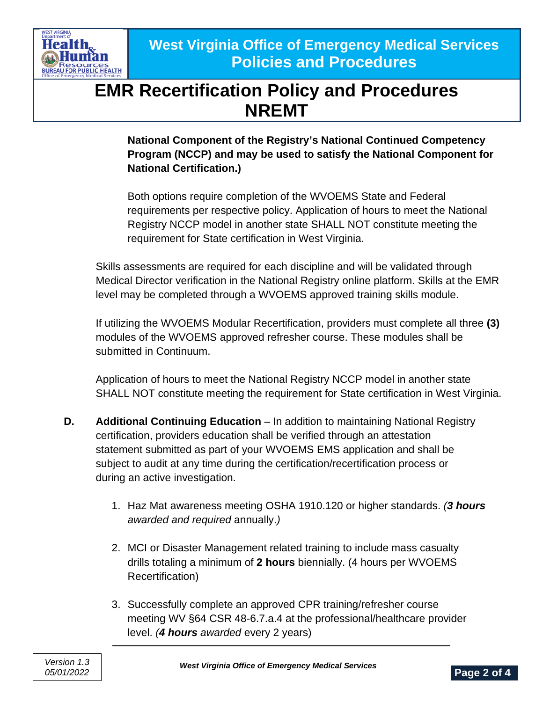

**National Component of the Registry's National Continued Competency Program (NCCP) and may be used to satisfy the National Component for National Certification.)**

Both options require completion of the WVOEMS State and Federal requirements per respective policy. Application of hours to meet the National Registry NCCP model in another state SHALL NOT constitute meeting the requirement for State certification in West Virginia.

Skills assessments are required for each discipline and will be validated through Medical Director verification in the National Registry online platform. Skills at the EMR level may be completed through a WVOEMS approved training skills module.

If utilizing the WVOEMS Modular Recertification, providers must complete all three **(3)** modules of the WVOEMS approved refresher course. These modules shall be submitted in Continuum.

Application of hours to meet the National Registry NCCP model in another state SHALL NOT constitute meeting the requirement for State certification in West Virginia.

- **D. Additional Continuing Education** In addition to maintaining National Registry certification, providers education shall be verified through an attestation statement submitted as part of your WVOEMS EMS application and shall be subject to audit at any time during the certification/recertification process or during an active investigation.
	- 1. Haz Mat awareness meeting OSHA 1910.120 or higher standards. *(3 hours awarded and required* annually.*)*
	- 2. MCI or Disaster Management related training to include mass casualty drills totaling a minimum of **2 hours** biennially. (4 hours per WVOEMS Recertification)
	- 3. Successfully complete an approved CPR training/refresher course meeting WV §64 CSR 48-6.7.a.4 at the professional/healthcare provider level. *(4 hours awarded* every 2 years)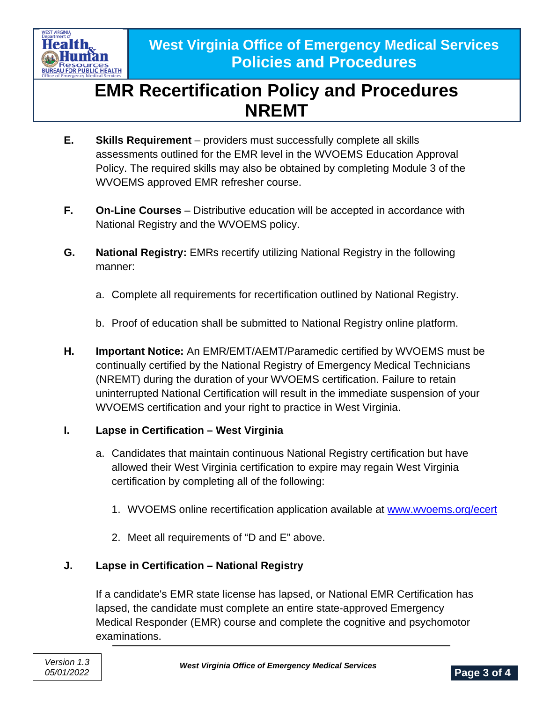

- **E. Skills Requirement** providers must successfully complete all skills assessments outlined for the EMR level in the WVOEMS Education Approval Policy. The required skills may also be obtained by completing Module 3 of the WVOEMS approved EMR refresher course.
- **F. On-Line Courses** Distributive education will be accepted in accordance with National Registry and the WVOEMS policy.
- **G. National Registry:** EMRs recertify utilizing National Registry in the following manner:
	- a. Complete all requirements for recertification outlined by National Registry.
	- b. Proof of education shall be submitted to National Registry online platform.
- **H. Important Notice:** An EMR/EMT/AEMT/Paramedic certified by WVOEMS must be continually certified by the National Registry of Emergency Medical Technicians (NREMT) during the duration of your WVOEMS certification. Failure to retain uninterrupted National Certification will result in the immediate suspension of your WVOEMS certification and your right to practice in West Virginia.

#### **I. Lapse in Certification – West Virginia**

- a. Candidates that maintain continuous National Registry certification but have allowed their West Virginia certification to expire may regain West Virginia certification by completing all of the following:
	- 1. WVOEMS online recertification application available at [www.wvoems.org/ecert](http://www.wvoems.org/ecert)
	- 2. Meet all requirements of "D and E" above.

### **J. Lapse in Certification – National Registry**

If a candidate's EMR state license has lapsed, or National EMR Certification has lapsed, the candidate must complete an entire state-approved Emergency Medical Responder (EMR) course and complete the cognitive and psychomotor examinations.